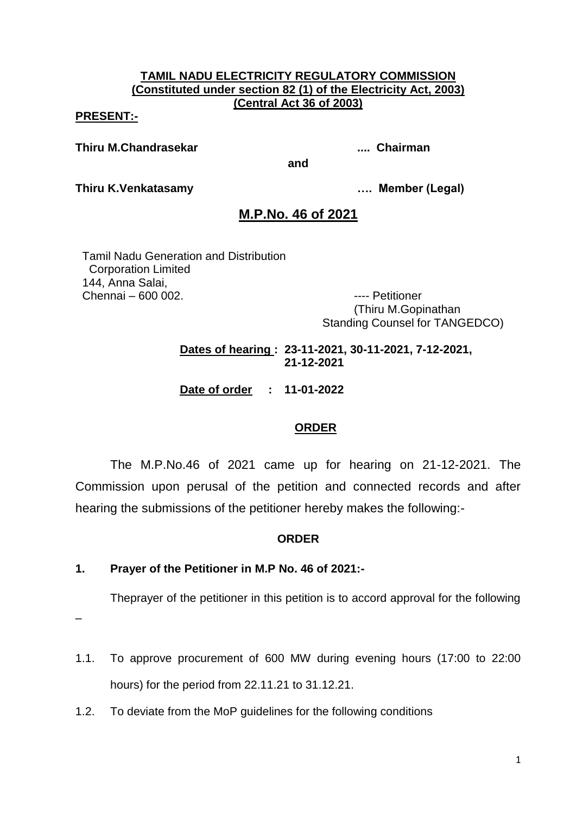#### **TAMIL NADU ELECTRICITY REGULATORY COMMISSION (Constituted under section 82 (1) of the Electricity Act, 2003) (Central Act 36 of 2003)**

#### **PRESENT:-**

**Thiru M.Chandrasekar .... Chairman**

**Thiru K.Venkatasamy …. Member (Legal)**

## **M.P.No. 46 of 2021**

**and**

Tamil Nadu Generation and Distribution Corporation Limited 144, Anna Salai, Chennai – 600 002. ---- Petitioner

(Thiru M.Gopinathan Standing Counsel for TANGEDCO)

**Dates of hearing : 23-11-2021, 30-11-2021, 7-12-2021, 21-12-2021**

**Date of order : 11-01-2022**

## **ORDER**

The M.P.No.46 of 2021 came up for hearing on 21-12-2021. The Commission upon perusal of the petition and connected records and after hearing the submissions of the petitioner hereby makes the following:-

#### **ORDER**

## **1. Prayer of the Petitioner in M.P No. 46 of 2021:-**

Theprayer of the petitioner in this petition is to accord approval for the following

–

- 1.1. To approve procurement of 600 MW during evening hours (17:00 to 22:00 hours) for the period from 22.11.21 to 31.12.21.
- 1.2. To deviate from the MoP guidelines for the following conditions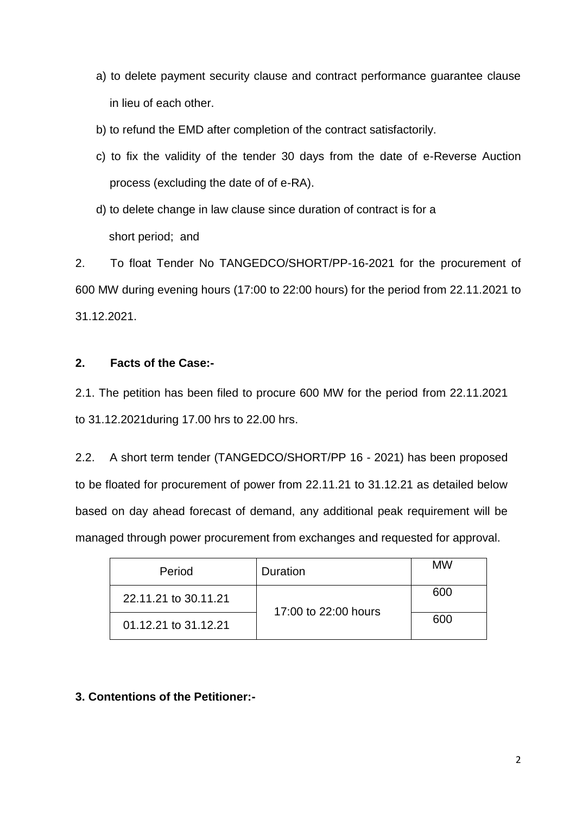- a) to delete payment security clause and contract performance guarantee clause in lieu of each other.
- b) to refund the EMD after completion of the contract satisfactorily.
- c) to fix the validity of the tender 30 days from the date of e-Reverse Auction process (excluding the date of of e-RA).
- d) to delete change in law clause since duration of contract is for a short period; and

2. To float Tender No TANGEDCO/SHORT/PP-16-2021 for the procurement of 600 MW during evening hours (17:00 to 22:00 hours) for the period from 22.11.2021 to 31.12.2021.

## **2. Facts of the Case:-**

2.1. The petition has been filed to procure 600 MW for the period from 22.11.2021 to 31.12.2021during 17.00 hrs to 22.00 hrs.

2.2. A short term tender (TANGEDCO/SHORT/PP 16 - 2021) has been proposed to be floated for procurement of power from 22.11.21 to 31.12.21 as detailed below based on day ahead forecast of demand, any additional peak requirement will be managed through power procurement from exchanges and requested for approval.

| Period               | Duration             | MW  |
|----------------------|----------------------|-----|
| 22.11.21 to 30.11.21 | 17:00 to 22:00 hours | 600 |
| 01.12.21 to 31.12.21 |                      | 600 |

## **3. Contentions of the Petitioner:-**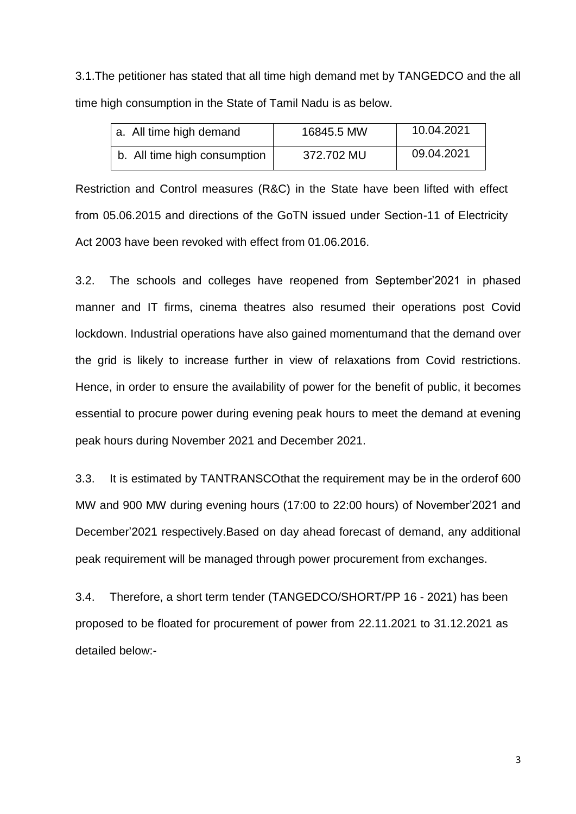3.1.The petitioner has stated that all time high demand met by TANGEDCO and the all time high consumption in the State of Tamil Nadu is as below.

| a. All time high demand      | 16845.5 MW | 10.04.2021 |
|------------------------------|------------|------------|
| b. All time high consumption | 372.702 MU | 09.04.2021 |

Restriction and Control measures (R&C) in the State have been lifted with effect from 05.06.2015 and directions of the GoTN issued under Section-11 of Electricity Act 2003 have been revoked with effect from 01.06.2016.

3.2. The schools and colleges have reopened from September'2021 in phased manner and IT firms, cinema theatres also resumed their operations post Covid lockdown. Industrial operations have also gained momentumand that the demand over the grid is likely to increase further in view of relaxations from Covid restrictions. Hence, in order to ensure the availability of power for the benefit of public, it becomes essential to procure power during evening peak hours to meet the demand at evening peak hours during November 2021 and December 2021.

3.3. It is estimated by TANTRANSCOthat the requirement may be in the orderof 600 MW and 900 MW during evening hours (17:00 to 22:00 hours) of November'2021 and December'2021 respectively.Based on day ahead forecast of demand, any additional peak requirement will be managed through power procurement from exchanges.

3.4. Therefore, a short term tender (TANGEDCO/SHORT/PP 16 - 2021) has been proposed to be floated for procurement of power from 22.11.2021 to 31.12.2021 as detailed below:-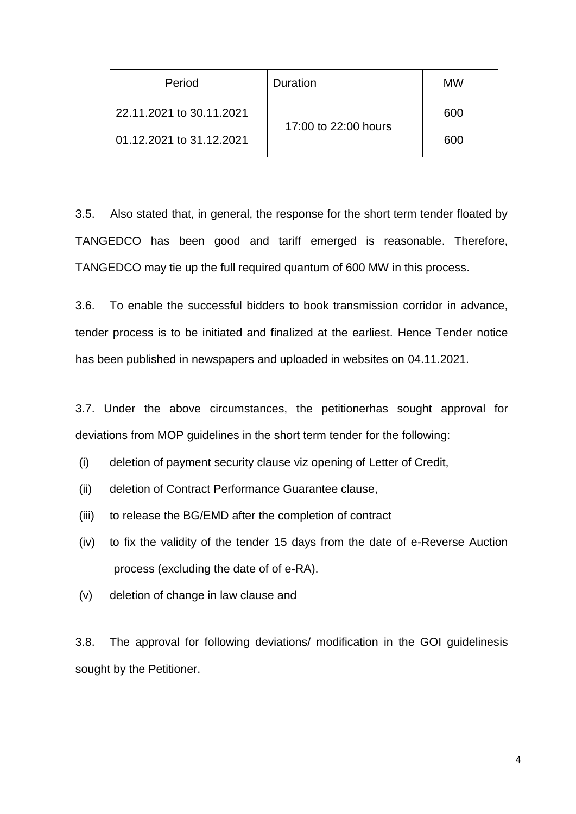| Period                   | Duration             | <b>MW</b> |
|--------------------------|----------------------|-----------|
| 22.11.2021 to 30.11.2021 | 17:00 to 22:00 hours | 600       |
| 01.12.2021 to 31.12.2021 |                      | 600       |

3.5. Also stated that, in general, the response for the short term tender floated by TANGEDCO has been good and tariff emerged is reasonable. Therefore, TANGEDCO may tie up the full required quantum of 600 MW in this process.

3.6. To enable the successful bidders to book transmission corridor in advance, tender process is to be initiated and finalized at the earliest. Hence Tender notice has been published in newspapers and uploaded in websites on 04.11.2021.

3.7. Under the above circumstances, the petitionerhas sought approval for deviations from MOP guidelines in the short term tender for the following:

- (i) deletion of payment security clause viz opening of Letter of Credit,
- (ii) deletion of Contract Performance Guarantee clause,
- (iii) to release the BG/EMD after the completion of contract
- (iv) to fix the validity of the tender 15 days from the date of e-Reverse Auction process (excluding the date of of e-RA).
- (v) deletion of change in law clause and

3.8. The approval for following deviations/ modification in the GOI guidelinesis sought by the Petitioner.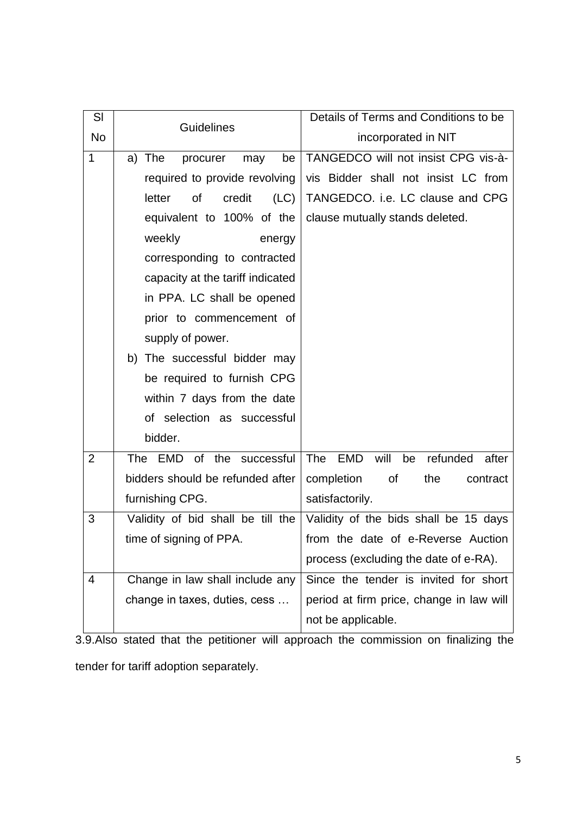| SI             | <b>Guidelines</b>                   | Details of Terms and Conditions to be                |  |
|----------------|-------------------------------------|------------------------------------------------------|--|
| No             |                                     | incorporated in NIT                                  |  |
| 1              | a) The<br>be<br>procurer<br>may     | TANGEDCO will not insist CPG vis-à-                  |  |
|                | required to provide revolving       | vis Bidder shall not insist LC from                  |  |
|                | credit<br>(LC)<br>letter<br>Οf      | TANGEDCO. i.e. LC clause and CPG                     |  |
|                | equivalent to 100% of the           | clause mutually stands deleted.                      |  |
|                | weekly<br>energy                    |                                                      |  |
|                | corresponding to contracted         |                                                      |  |
|                | capacity at the tariff indicated    |                                                      |  |
|                | in PPA. LC shall be opened          |                                                      |  |
|                | prior to commencement of            |                                                      |  |
|                | supply of power.                    |                                                      |  |
|                | b) The successful bidder may        |                                                      |  |
|                | be required to furnish CPG          |                                                      |  |
|                | within 7 days from the date         |                                                      |  |
|                | of selection as successful          |                                                      |  |
|                | bidder.                             |                                                      |  |
| $\overline{2}$ | EMD of the successful<br><b>The</b> | will<br>refunded<br>The<br><b>EMD</b><br>after<br>be |  |
|                | bidders should be refunded after    | completion<br>of<br>the<br>contract                  |  |
|                | furnishing CPG.                     | satisfactorily.                                      |  |
| 3              | Validity of bid shall be till the   | Validity of the bids shall be 15 days                |  |
|                | time of signing of PPA.             | from the date of e-Reverse Auction                   |  |
|                |                                     | process (excluding the date of e-RA).                |  |
| 4              | Change in law shall include any     | Since the tender is invited for short                |  |
|                | change in taxes, duties, cess       | period at firm price, change in law will             |  |
|                |                                     | not be applicable.                                   |  |

3.9.Also stated that the petitioner will approach the commission on finalizing the tender for tariff adoption separately.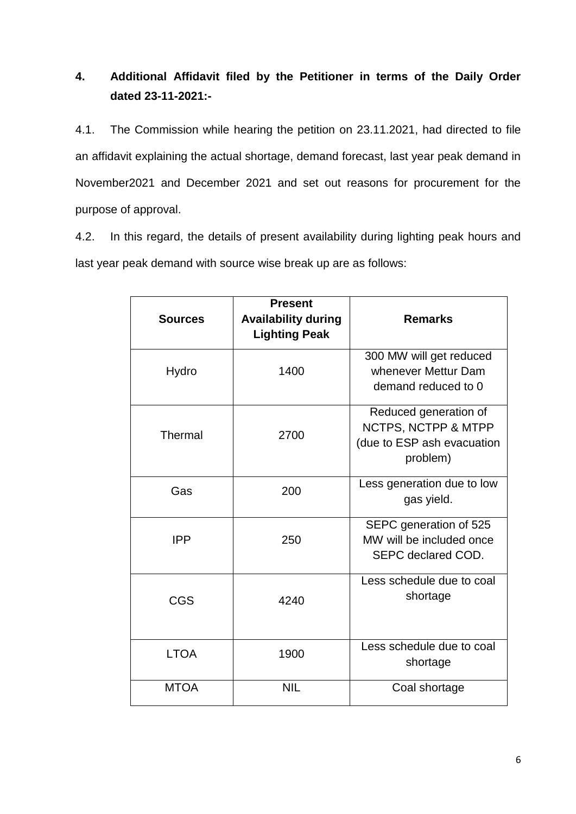# **4. Additional Affidavit filed by the Petitioner in terms of the Daily Order dated 23-11-2021:-**

4.1. The Commission while hearing the petition on 23.11.2021, had directed to file an affidavit explaining the actual shortage, demand forecast, last year peak demand in November2021 and December 2021 and set out reasons for procurement for the purpose of approval.

4.2. In this regard, the details of present availability during lighting peak hours and last year peak demand with source wise break up are as follows:

| <b>Sources</b> | <b>Present</b><br><b>Availability during</b><br><b>Lighting Peak</b> | <b>Remarks</b>                                                                         |  |
|----------------|----------------------------------------------------------------------|----------------------------------------------------------------------------------------|--|
| Hydro          | 1400                                                                 | 300 MW will get reduced<br>whenever Mettur Dam<br>demand reduced to 0                  |  |
| Thermal        | 2700                                                                 | Reduced generation of<br>NCTPS, NCTPP & MTPP<br>(due to ESP ash evacuation<br>problem) |  |
| Gas            | 200                                                                  | Less generation due to low<br>gas yield.                                               |  |
| <b>IPP</b>     | 250                                                                  | SEPC generation of 525<br>MW will be included once<br>SEPC declared COD.               |  |
| <b>CGS</b>     | 4240                                                                 | Less schedule due to coal<br>shortage                                                  |  |
| <b>LTOA</b>    | 1900                                                                 | Less schedule due to coal<br>shortage                                                  |  |
| <b>MTOA</b>    | <b>NIL</b>                                                           | Coal shortage                                                                          |  |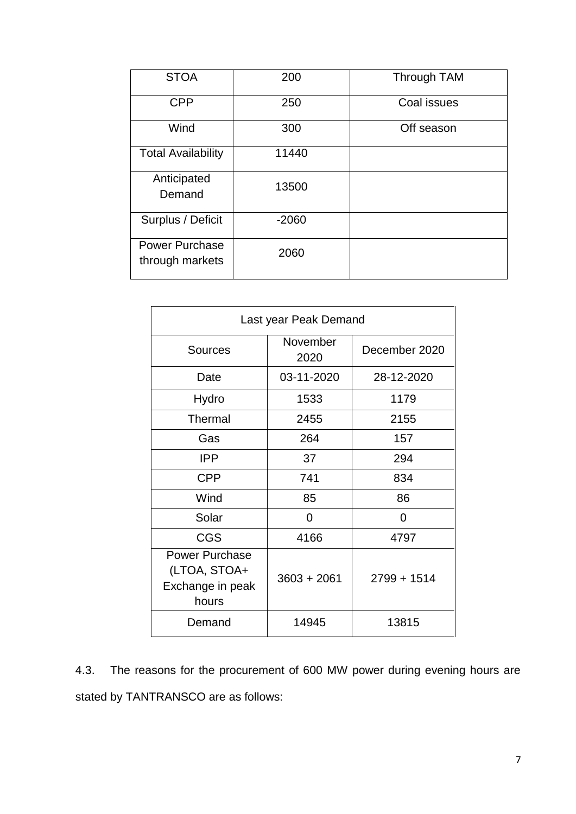| <b>STOA</b>                              | 200     | Through TAM |  |
|------------------------------------------|---------|-------------|--|
| <b>CPP</b>                               | 250     | Coal issues |  |
| Wind                                     | 300     | Off season  |  |
| <b>Total Availability</b>                | 11440   |             |  |
| Anticipated<br>Demand                    | 13500   |             |  |
| Surplus / Deficit                        | $-2060$ |             |  |
| <b>Power Purchase</b><br>through markets | 2060    |             |  |

| Last year Peak Demand                                              |                  |               |  |
|--------------------------------------------------------------------|------------------|---------------|--|
| <b>Sources</b>                                                     | November<br>2020 | December 2020 |  |
| Date                                                               | 03-11-2020       | 28-12-2020    |  |
| Hydro                                                              | 1533             | 1179          |  |
| <b>Thermal</b>                                                     | 2455             | 2155          |  |
| Gas                                                                | 264              | 157           |  |
| <b>IPP</b>                                                         | 37               | 294           |  |
| <b>CPP</b>                                                         | 741              | 834           |  |
| Wind                                                               | 85               | 86            |  |
| Solar                                                              | 0                | 0             |  |
| <b>CGS</b>                                                         | 4166             | 4797          |  |
| <b>Power Purchase</b><br>(LTOA, STOA+<br>Exchange in peak<br>hours | $3603 + 2061$    | $2799 + 1514$ |  |
| Demand                                                             | 14945            | 13815         |  |

4.3. The reasons for the procurement of 600 MW power during evening hours are stated by TANTRANSCO are as follows: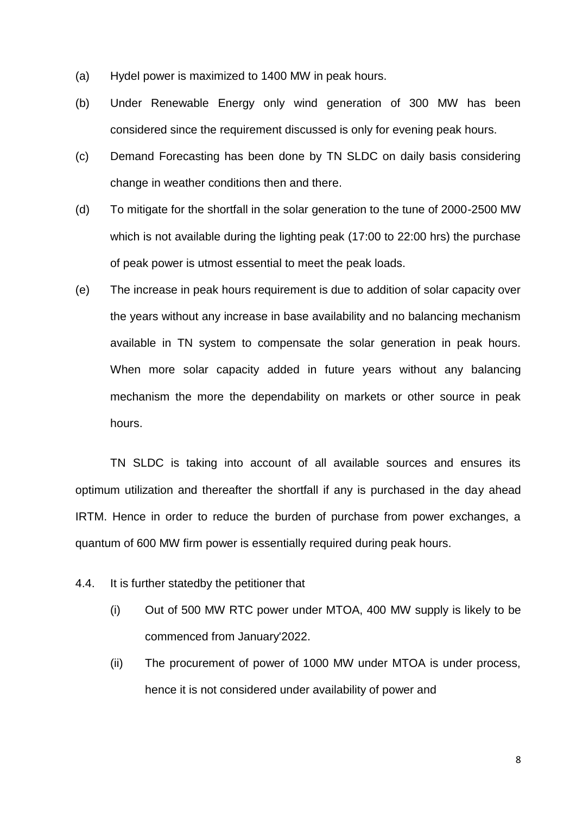- (a) Hydel power is maximized to 1400 MW in peak hours.
- (b) Under Renewable Energy only wind generation of 300 MW has been considered since the requirement discussed is only for evening peak hours.
- (c) Demand Forecasting has been done by TN SLDC on daily basis considering change in weather conditions then and there.
- (d) To mitigate for the shortfall in the solar generation to the tune of 2000-2500 MW which is not available during the lighting peak (17:00 to 22:00 hrs) the purchase of peak power is utmost essential to meet the peak loads.
- (e) The increase in peak hours requirement is due to addition of solar capacity over the years without any increase in base availability and no balancing mechanism available in TN system to compensate the solar generation in peak hours. When more solar capacity added in future years without any balancing mechanism the more the dependability on markets or other source in peak hours.

TN SLDC is taking into account of all available sources and ensures its optimum utilization and thereafter the shortfall if any is purchased in the day ahead IRTM. Hence in order to reduce the burden of purchase from power exchanges, a quantum of 600 MW firm power is essentially required during peak hours.

- 4.4. It is further statedby the petitioner that
	- (i) Out of 500 MW RTC power under MTOA, 400 MW supply is likely to be commenced from January'2022.
	- (ii) The procurement of power of 1000 MW under MTOA is under process, hence it is not considered under availability of power and

8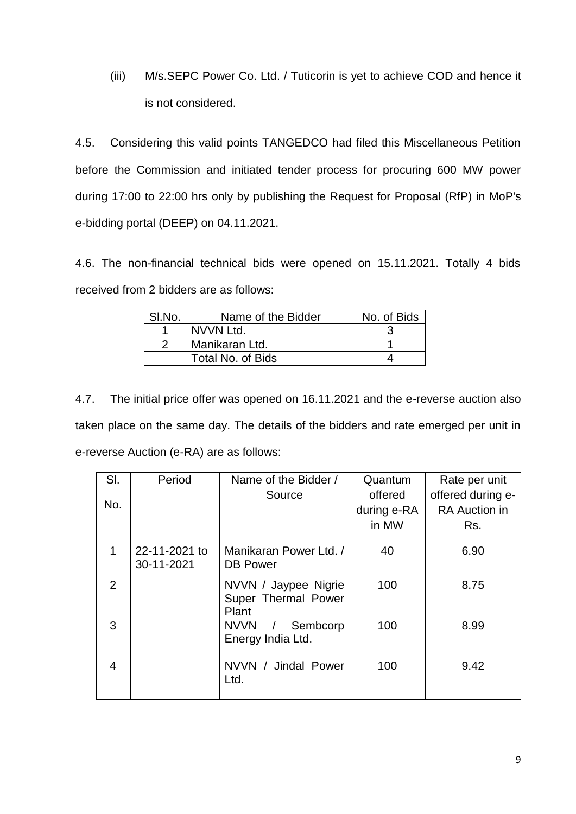(iii) M/s.SEPC Power Co. Ltd. / Tuticorin is yet to achieve COD and hence it is not considered.

4.5. Considering this valid points TANGEDCO had filed this Miscellaneous Petition before the Commission and initiated tender process for procuring 600 MW power during 17:00 to 22:00 hrs only by publishing the Request for Proposal (RfP) in MoP's e-bidding portal (DEEP) on 04.11.2021.

4.6. The non-financial technical bids were opened on 15.11.2021. Totally 4 bids received from 2 bidders are as follows:

| SI.No. | Name of the Bidder | No. of Bids |
|--------|--------------------|-------------|
|        | NVVN Ltd.          |             |
|        | Manikaran Ltd.     |             |
|        | Total No. of Bids  |             |

4.7. The initial price offer was opened on 16.11.2021 and the e-reverse auction also taken place on the same day. The details of the bidders and rate emerged per unit in e-reverse Auction (e-RA) are as follows:

| SI. | Period                      | Name of the Bidder /                                 | Quantum     | Rate per unit        |
|-----|-----------------------------|------------------------------------------------------|-------------|----------------------|
|     |                             | Source                                               | offered     | offered during e-    |
| No. |                             |                                                      | during e-RA | <b>RA</b> Auction in |
|     |                             |                                                      | in MW       | Rs.                  |
| 1   | 22-11-2021 to<br>30-11-2021 | Manikaran Power Ltd. /<br><b>DB Power</b>            | 40          | 6.90                 |
| 2   |                             | NVVN / Jaypee Nigrie<br>Super Thermal Power<br>Plant | 100         | 8.75                 |
| 3   |                             | <b>NVVN</b><br>Sembcorp<br>Energy India Ltd.         | 100         | 8.99                 |
| 4   |                             | NVVN /<br>Jindal Power<br>Ltd.                       | 100         | 9.42                 |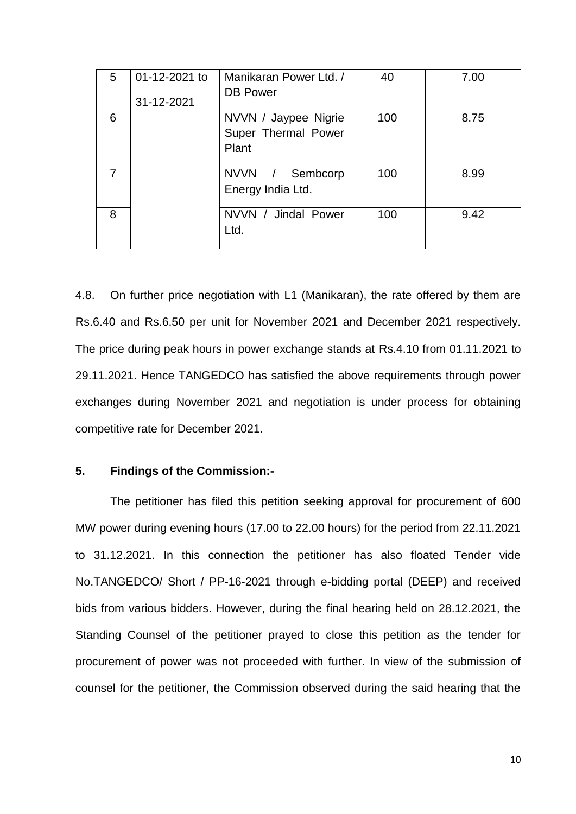| 5 | 01-12-2021 to<br>31-12-2021 | Manikaran Power Ltd. /<br><b>DB Power</b>            | 40  | 7.00 |
|---|-----------------------------|------------------------------------------------------|-----|------|
| 6 |                             | NVVN / Jaypee Nigrie<br>Super Thermal Power<br>Plant | 100 | 8.75 |
|   |                             | NVVN /<br>Sembcorp<br>Energy India Ltd.              | 100 | 8.99 |
| 8 |                             | NVVN / Jindal Power<br>Ltd.                          | 100 | 9.42 |

4.8. On further price negotiation with L1 (Manikaran), the rate offered by them are Rs.6.40 and Rs.6.50 per unit for November 2021 and December 2021 respectively. The price during peak hours in power exchange stands at Rs.4.10 from 01.11.2021 to 29.11.2021. Hence TANGEDCO has satisfied the above requirements through power exchanges during November 2021 and negotiation is under process for obtaining competitive rate for December 2021.

#### **5. Findings of the Commission:-**

The petitioner has filed this petition seeking approval for procurement of 600 MW power during evening hours (17.00 to 22.00 hours) for the period from 22.11.2021 to 31.12.2021. In this connection the petitioner has also floated Tender vide No.TANGEDCO/ Short / PP-16-2021 through e-bidding portal (DEEP) and received bids from various bidders. However, during the final hearing held on 28.12.2021, the Standing Counsel of the petitioner prayed to close this petition as the tender for procurement of power was not proceeded with further. In view of the submission of counsel for the petitioner, the Commission observed during the said hearing that the